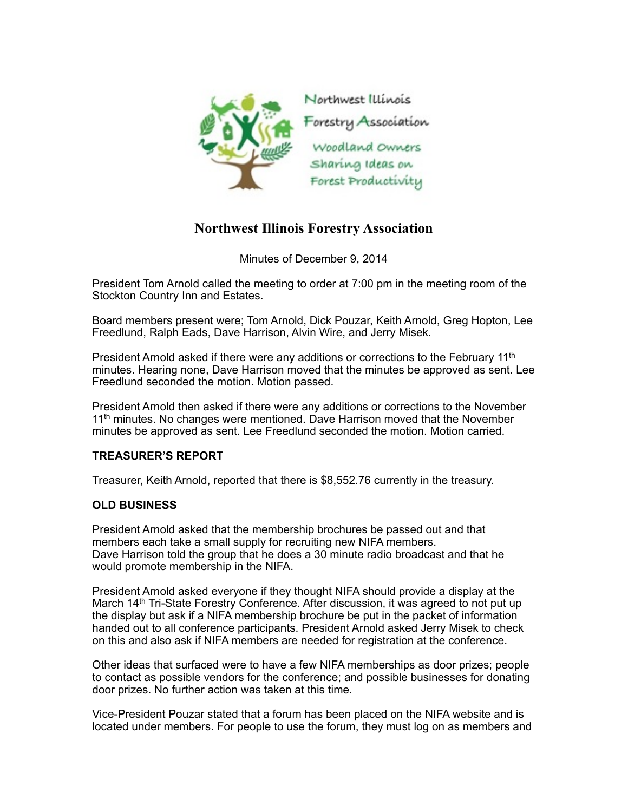

## **Northwest Illinois Forestry Association**

Minutes of December 9, 2014

President Tom Arnold called the meeting to order at 7:00 pm in the meeting room of the Stockton Country Inn and Estates.

Board members present were; Tom Arnold, Dick Pouzar, Keith Arnold, Greg Hopton, Lee Freedlund, Ralph Eads, Dave Harrison, Alvin Wire, and Jerry Misek.

President Arnold asked if there were any additions or corrections to the February  $11<sup>th</sup>$ minutes. Hearing none, Dave Harrison moved that the minutes be approved as sent. Lee Freedlund seconded the motion. Motion passed.

President Arnold then asked if there were any additions or corrections to the November 11<sup>th</sup> minutes. No changes were mentioned. Dave Harrison moved that the November minutes be approved as sent. Lee Freedlund seconded the motion. Motion carried.

## **TREASURER'S REPORT**

Treasurer, Keith Arnold, reported that there is \$8,552.76 currently in the treasury.

## **OLD BUSINESS**

President Arnold asked that the membership brochures be passed out and that members each take a small supply for recruiting new NIFA members. Dave Harrison told the group that he does a 30 minute radio broadcast and that he would promote membership in the NIFA.

President Arnold asked everyone if they thought NIFA should provide a display at the March 14<sup>th</sup> Tri-State Forestry Conference. After discussion, it was agreed to not put up the display but ask if a NIFA membership brochure be put in the packet of information handed out to all conference participants. President Arnold asked Jerry Misek to check on this and also ask if NIFA members are needed for registration at the conference.

Other ideas that surfaced were to have a few NIFA memberships as door prizes; people to contact as possible vendors for the conference; and possible businesses for donating door prizes. No further action was taken at this time.

Vice-President Pouzar stated that a forum has been placed on the NIFA website and is located under members. For people to use the forum, they must log on as members and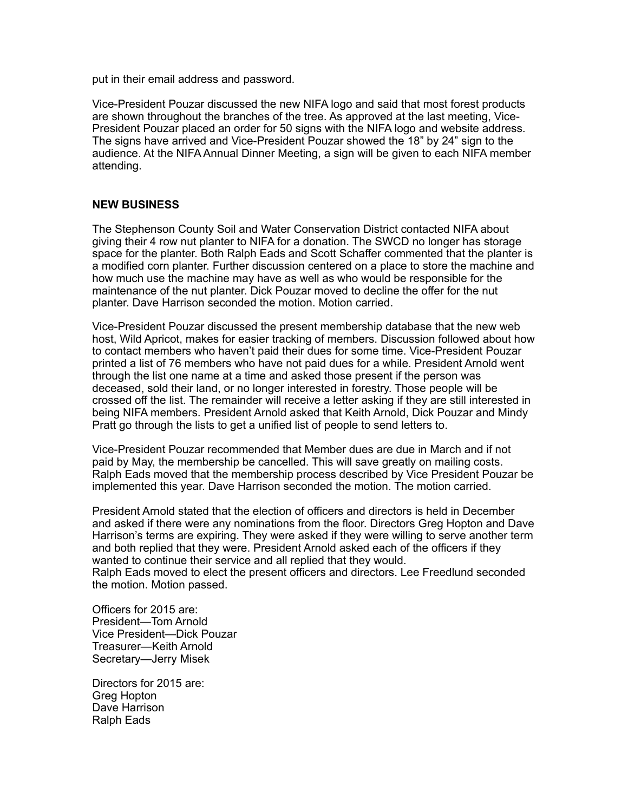put in their email address and password.

Vice-President Pouzar discussed the new NIFA logo and said that most forest products are shown throughout the branches of the tree. As approved at the last meeting, Vice-President Pouzar placed an order for 50 signs with the NIFA logo and website address. The signs have arrived and Vice-President Pouzar showed the 18" by 24" sign to the audience. At the NIFA Annual Dinner Meeting, a sign will be given to each NIFA member attending.

## **NEW BUSINESS**

The Stephenson County Soil and Water Conservation District contacted NIFA about giving their 4 row nut planter to NIFA for a donation. The SWCD no longer has storage space for the planter. Both Ralph Eads and Scott Schaffer commented that the planter is a modified corn planter. Further discussion centered on a place to store the machine and how much use the machine may have as well as who would be responsible for the maintenance of the nut planter. Dick Pouzar moved to decline the offer for the nut planter. Dave Harrison seconded the motion. Motion carried.

Vice-President Pouzar discussed the present membership database that the new web host, Wild Apricot, makes for easier tracking of members. Discussion followed about how to contact members who haven't paid their dues for some time. Vice-President Pouzar printed a list of 76 members who have not paid dues for a while. President Arnold went through the list one name at a time and asked those present if the person was deceased, sold their land, or no longer interested in forestry. Those people will be crossed off the list. The remainder will receive a letter asking if they are still interested in being NIFA members. President Arnold asked that Keith Arnold, Dick Pouzar and Mindy Pratt go through the lists to get a unified list of people to send letters to.

Vice-President Pouzar recommended that Member dues are due in March and if not paid by May, the membership be cancelled. This will save greatly on mailing costs. Ralph Eads moved that the membership process described by Vice President Pouzar be implemented this year. Dave Harrison seconded the motion. The motion carried.

President Arnold stated that the election of officers and directors is held in December and asked if there were any nominations from the floor. Directors Greg Hopton and Dave Harrison's terms are expiring. They were asked if they were willing to serve another term and both replied that they were. President Arnold asked each of the officers if they wanted to continue their service and all replied that they would. Ralph Eads moved to elect the present officers and directors. Lee Freedlund seconded the motion. Motion passed.

Officers for 2015 are: President—Tom Arnold Vice President—Dick Pouzar Treasurer—Keith Arnold Secretary—Jerry Misek

Directors for 2015 are: Greg Hopton Dave Harrison Ralph Eads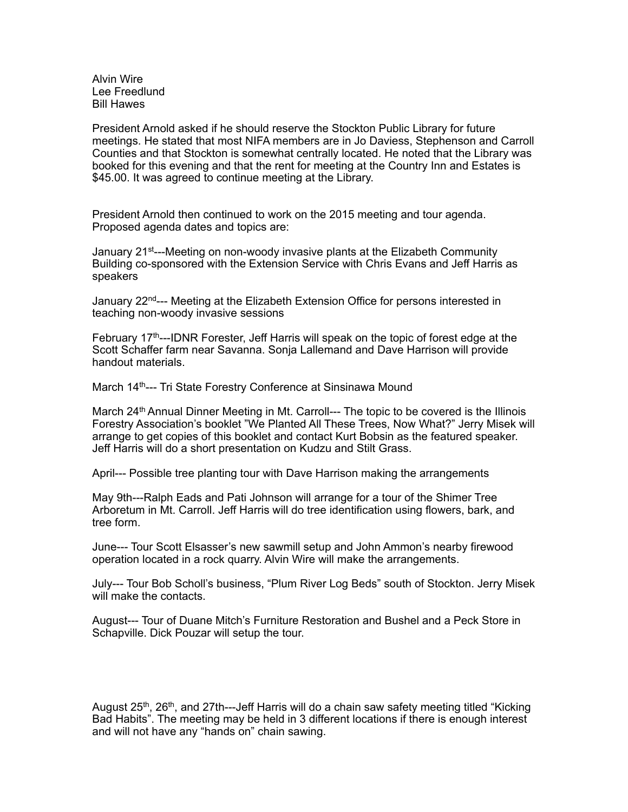Alvin Wire Lee Freedlund Bill Hawes

President Arnold asked if he should reserve the Stockton Public Library for future meetings. He stated that most NIFA members are in Jo Daviess, Stephenson and Carroll Counties and that Stockton is somewhat centrally located. He noted that the Library was booked for this evening and that the rent for meeting at the Country Inn and Estates is \$45.00. It was agreed to continue meeting at the Library.

President Arnold then continued to work on the 2015 meeting and tour agenda. Proposed agenda dates and topics are:

January 21st---Meeting on non-woody invasive plants at the Elizabeth Community Building co-sponsored with the Extension Service with Chris Evans and Jeff Harris as speakers

January 22nd--- Meeting at the Elizabeth Extension Office for persons interested in teaching non-woody invasive sessions

February 17<sup>th</sup>---IDNR Forester, Jeff Harris will speak on the topic of forest edge at the Scott Schaffer farm near Savanna. Sonja Lallemand and Dave Harrison will provide handout materials.

March 14<sup>th</sup>--- Tri State Forestry Conference at Sinsinawa Mound

March 24<sup>th</sup> Annual Dinner Meeting in Mt. Carroll--- The topic to be covered is the Illinois Forestry Association's booklet "We Planted All These Trees, Now What?" Jerry Misek will arrange to get copies of this booklet and contact Kurt Bobsin as the featured speaker. Jeff Harris will do a short presentation on Kudzu and Stilt Grass.

April--- Possible tree planting tour with Dave Harrison making the arrangements

May 9th---Ralph Eads and Pati Johnson will arrange for a tour of the Shimer Tree Arboretum in Mt. Carroll. Jeff Harris will do tree identification using flowers, bark, and tree form.

June--- Tour Scott Elsasser's new sawmill setup and John Ammon's nearby firewood operation located in a rock quarry. Alvin Wire will make the arrangements.

July--- Tour Bob Scholl's business, "Plum River Log Beds" south of Stockton. Jerry Misek will make the contacts.

August--- Tour of Duane Mitch's Furniture Restoration and Bushel and a Peck Store in Schapville. Dick Pouzar will setup the tour.

August 25<sup>th</sup>, 26<sup>th</sup>, and 27th---Jeff Harris will do a chain saw safety meeting titled "Kicking" Bad Habits". The meeting may be held in 3 different locations if there is enough interest and will not have any "hands on" chain sawing.